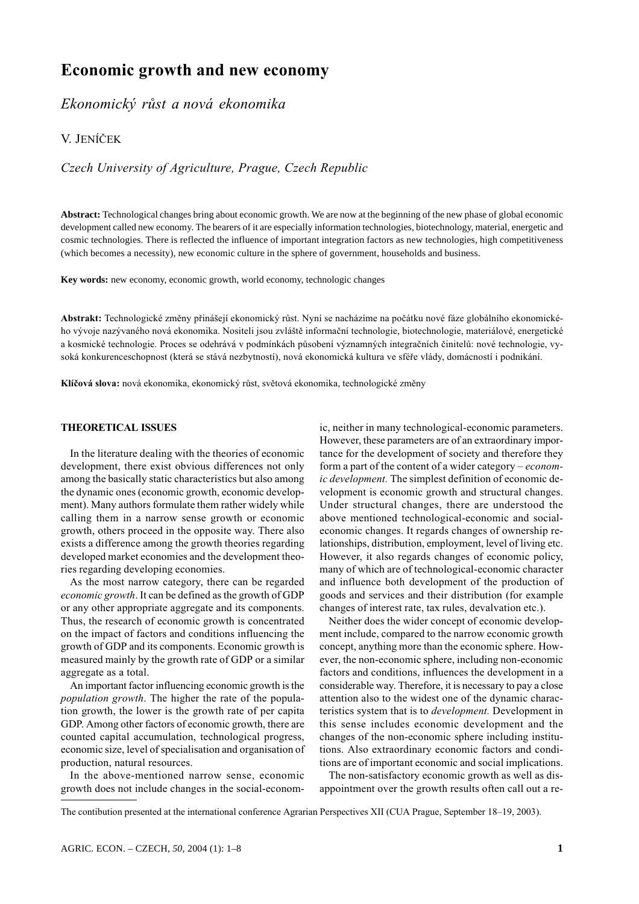# **Economic growth and new economy**

Ekonomický růst a nová ekonomika

V. JENÍČEK

Czech University of Agriculture, Prague, Czech Republic

**Abstract:** Technological changes bring about economic growth. We are now at the beginning of the new phase of global economic development called new economy. The bearers of it are especially information technologies, biotechnology, material, energetic and cosmic technologies. There is reflected the influence of important integration factors as new technologies, high competitiveness (which becomes a necessity), new economic culture in the sphere of government, households and business.

**Key words:** new economy, economic growth, world economy, technologic changes

Abstrakt: Technologické změny přinášejí ekonomický růst. Nyní se nacházíme na počátku nové fáze globálního ekonomického vývoje nazývaného nová ekonomika. Nositeli jsou zvláště informační technologie, biotechnologie, materiálové, energetické a kosmické technologie. Proces se odehrává v podmínkách působení významných integračních činitelů: nové technologie, vysoká konkurenceschopnost (která se stává nezbytností), nová ekonomická kultura ve sféře vlády, domácností i podnikání.

Klíčová slova: nová ekonomika, ekonomický růst, světová ekonomika, technologické změny

#### **THEORETICAL ISSUES**

In the literature dealing with the theories of economic development, there exist obvious differences not only among the basically static characteristics but also among the dynamic ones (economic growth, economic development). Many authors formulate them rather widely while calling them in a narrow sense growth or economic growth, others proceed in the opposite way. There also exists a difference among the growth theories regarding developed market economies and the development theories regarding developing economies.

As the most narrow category, there can be regarded economic growth. It can be defined as the growth of GDP or any other appropriate aggregate and its components. Thus, the research of economic growth is concentrated on the impact of factors and conditions influencing the growth of GDP and its components. Economic growth is measured mainly by the growth rate of GDP or a similar aggregate as a total.

An important factor influencing economic growth is the *population growth*. The higher the rate of the population growth, the lower is the growth rate of per capita GDP. Among other factors of economic growth, there are counted capital accumulation, technological progress, economic size, level of specialisation and organisation of production, natural resources.

In the above-mentioned narrow sense, economic growth does not include changes in the social-economic, neither in many technological-economic parameters. However, these parameters are of an extraordinary importance for the development of society and therefore they form a part of the content of a wider category  $-$  *econom*ic development. The simplest definition of economic development is economic growth and structural changes. Under structural changes, there are understood the above mentioned technological-economic and socialeconomic changes. It regards changes of ownership relationships, distribution, employment, level of living etc. However, it also regards changes of economic policy, many of which are of technological-economic character and influence both development of the production of goods and services and their distribution (for example changes of interest rate, tax rules, devalvation etc.).

Neither does the wider concept of economic development include, compared to the narrow economic growth concept, anything more than the economic sphere. However, the non-economic sphere, including non-economic factors and conditions, influences the development in a considerable way. Therefore, it is necessary to pay a close attention also to the widest one of the dynamic characteristics system that is to *development*. Development in this sense includes economic development and the changes of the non-economic sphere including institutions. Also extraordinary economic factors and conditions are of important economic and social implications.

The non-satisfactory economic growth as well as disappointment over the growth results often call out a re-

The contibution presented at the international conference Agrarian Perspectives XII (CUA Prague, September 18–19, 2003).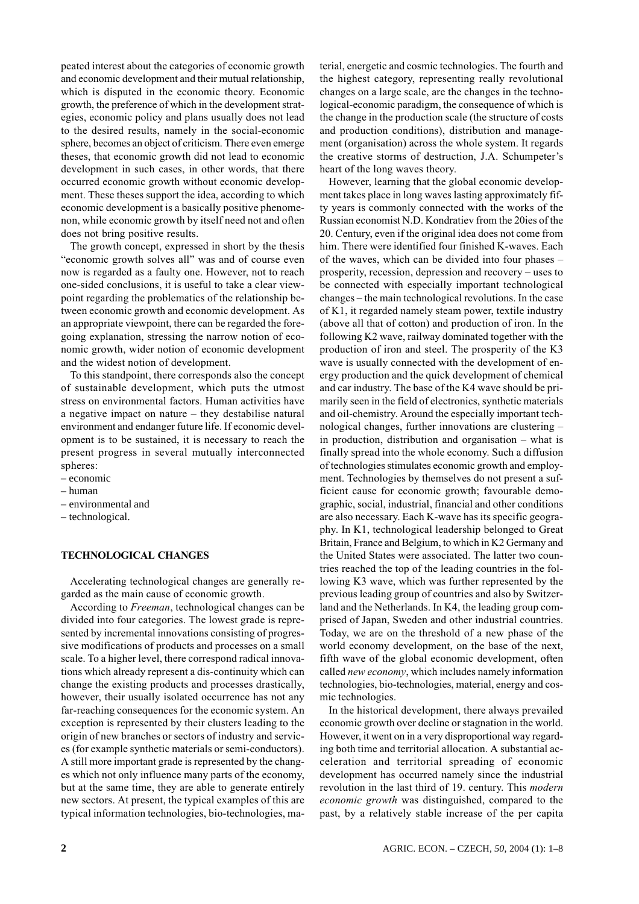peated interest about the categories of economic growth and economic development and their mutual relationship. which is disputed in the economic theory. Economic growth, the preference of which in the development strategies, economic policy and plans usually does not lead to the desired results, namely in the social-economic sphere, becomes an object of criticism. There even emerge theses, that economic growth did not lead to economic development in such cases, in other words, that there occurred economic growth without economic development. These theses support the idea, according to which economic development is a basically positive phenomenon, while economic growth by itself need not and often does not bring positive results.

The growth concept, expressed in short by the thesis "economic growth solves all" was and of course even now is regarded as a faulty one. However, not to reach one-sided conclusions, it is useful to take a clear viewpoint regarding the problematics of the relationship between economic growth and economic development. As an appropriate viewpoint, there can be regarded the foregoing explanation, stressing the narrow notion of economic growth, wider notion of economic development and the widest notion of development.

To this standpoint, there corresponds also the concept of sustainable development, which puts the utmost stress on environmental factors. Human activities have a negative impact on nature - they destabilise natural environment and endanger future life. If economic development is to be sustained, it is necessary to reach the present progress in several mutually interconnected spheres:

- $-$  economic
- $-$ human
- environmental and
- technological.

## **TECHNOLOGICAL CHANGES**

Accelerating technological changes are generally regarded as the main cause of economic growth.

According to Freeman, technological changes can be divided into four categories. The lowest grade is represented by incremental innovations consisting of progressive modifications of products and processes on a small scale. To a higher level, there correspond radical innovations which already represent a dis-continuity which can change the existing products and processes drastically, however, their usually isolated occurrence has not any far-reaching consequences for the economic system. An exception is represented by their clusters leading to the origin of new branches or sectors of industry and services (for example synthetic materials or semi-conductors). A still more important grade is represented by the changes which not only influence many parts of the economy, but at the same time, they are able to generate entirely new sectors. At present, the typical examples of this are typical information technologies, bio-technologies, material, energetic and cosmic technologies. The fourth and the highest category, representing really revolutional changes on a large scale, are the changes in the technological-economic paradigm, the consequence of which is the change in the production scale (the structure of costs and production conditions), distribution and management (organisation) across the whole system. It regards the creative storms of destruction, J.A. Schumpeter's heart of the long waves theory.

However, learning that the global economic development takes place in long waves lasting approximately fifty years is commonly connected with the works of the Russian economist N.D. Kondratiev from the 20ies of the 20. Century, even if the original idea does not come from him. There were identified four finished K-waves. Each of the waves, which can be divided into four phases – prosperity, recession, depression and recovery – uses to be connected with especially important technological changes – the main technological revolutions. In the case of K1, it regarded namely steam power, textile industry (above all that of cotton) and production of iron. In the following K2 wave, railway dominated together with the production of iron and steel. The prosperity of the K3 wave is usually connected with the development of energy production and the quick development of chemical and car industry. The base of the K4 wave should be primarily seen in the field of electronics, synthetic materials and oil-chemistry. Around the especially important technological changes, further innovations are clustering in production, distribution and organisation - what is finally spread into the whole economy. Such a diffusion of technologies stimulates economic growth and employment. Technologies by themselves do not present a sufficient cause for economic growth; favourable demographic, social, industrial, financial and other conditions are also necessary. Each K-wave has its specific geography. In K1, technological leadership belonged to Great Britain, France and Belgium, to which in K2 Germany and the United States were associated. The latter two countries reached the top of the leading countries in the following K3 wave, which was further represented by the previous leading group of countries and also by Switzerland and the Netherlands. In K4, the leading group comprised of Japan, Sweden and other industrial countries. Today, we are on the threshold of a new phase of the world economy development, on the base of the next, fifth wave of the global economic development, often called new economy, which includes namely information technologies, bio-technologies, material, energy and cosmic technologies.

In the historical development, there always prevailed economic growth over decline or stagnation in the world. However, it went on in a very disproportional way regarding both time and territorial allocation. A substantial acceleration and territorial spreading of economic development has occurred namely since the industrial revolution in the last third of 19. century. This modern *economic growth* was distinguished, compared to the past, by a relatively stable increase of the per capita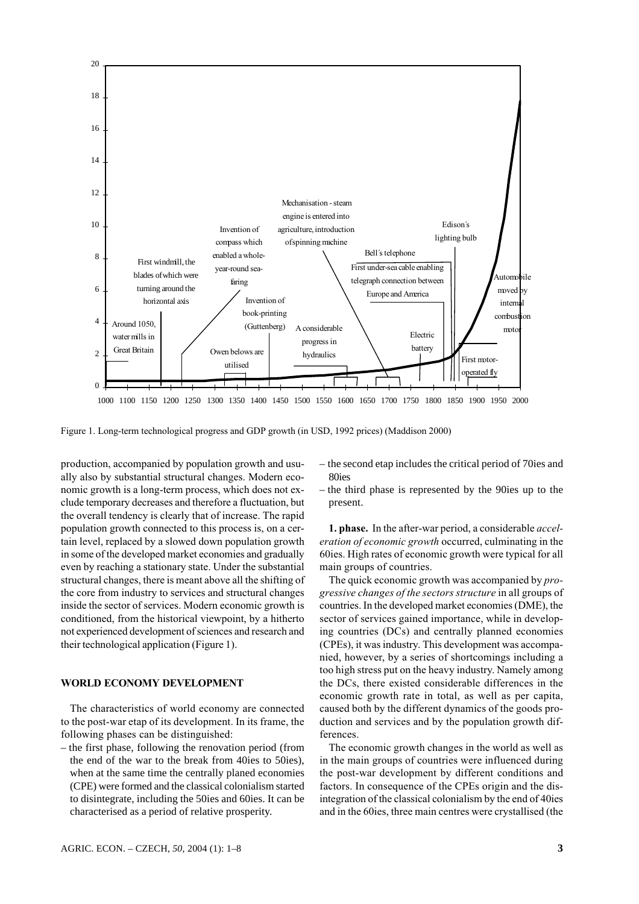

Figure 1. Long-term technological progress and GDP growth (in USD, 1992 prices) (Maddison 2000)

production, accompanied by population growth and usually also by substantial structural changes. Modern economic growth is a long-term process, which does not exclude temporary decreases and therefore a fluctuation, but the overall tendency is clearly that of increase. The rapid population growth connected to this process is, on a certain level, replaced by a slowed down population growth in some of the developed market economies and gradually even by reaching a stationary state. Under the substantial structural changes, there is meant above all the shifting of the core from industry to services and structural changes inside the sector of services. Modern economic growth is conditioned, from the historical viewpoint, by a hitherto not experienced development of sciences and research and their technological application (Figure 1).

#### WORLD ECONOMY DEVELOPMENT

The characteristics of world economy are connected to the post-war etap of its development. In its frame, the following phases can be distinguished:

– the first phase, following the renovation period (from the end of the war to the break from 40ies to 50ies), when at the same time the centrally planed economies (CPE) were formed and the classical colonialism started to disintegrate, including the 50ies and 60ies. It can be characterised as a period of relative prosperity.

- the second etap includes the critical period of 70ies and 80ies
- the third phase is represented by the 90ies up to the present.

1. phase. In the after-war period, a considerable acceleration of economic growth occurred, culminating in the 60ies. High rates of economic growth were typical for all main groups of countries.

The quick economic growth was accompanied by progressive changes of the sectors structure in all groups of countries. In the developed market economies (DME), the sector of services gained importance, while in developing countries (DCs) and centrally planned economies (CPEs), it was industry. This development was accompanied, however, by a series of shortcomings including a too high stress put on the heavy industry. Namely among the DCs, there existed considerable differences in the economic growth rate in total, as well as per capita, caused both by the different dynamics of the goods production and services and by the population growth differences.

The economic growth changes in the world as well as in the main groups of countries were influenced during the post-war development by different conditions and factors. In consequence of the CPEs origin and the disintegration of the classical colonialism by the end of 40ies and in the 60ies, three main centres were crystallised (the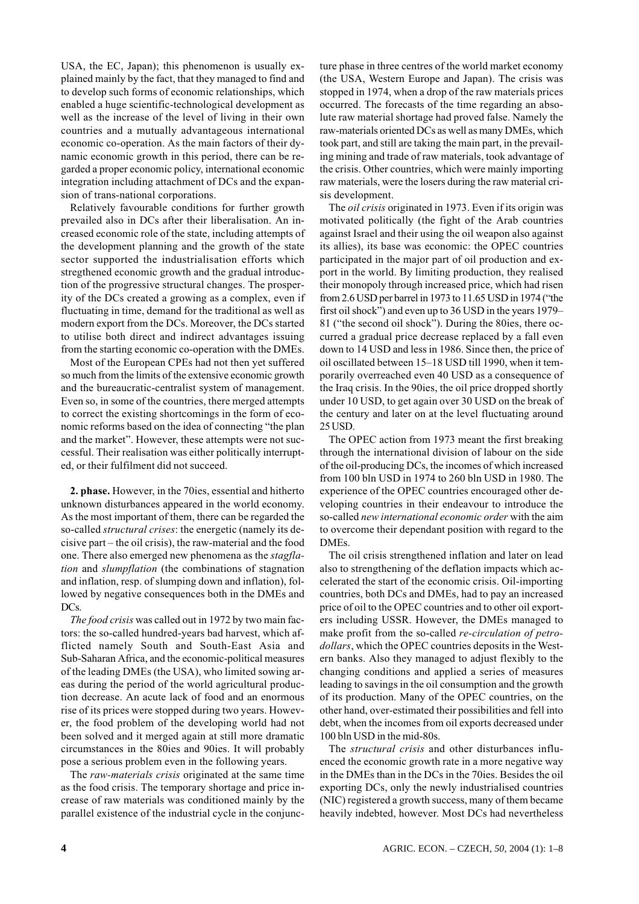USA, the EC, Japan); this phenomenon is usually explained mainly by the fact, that they managed to find and to develop such forms of economic relationships, which enabled a huge scientific-technological development as well as the increase of the level of living in their own countries and a mutually advantageous international economic co-operation. As the main factors of their dynamic economic growth in this period, there can be regarded a proper economic policy, international economic integration including attachment of DCs and the expansion of trans-national corporations.

Relatively favourable conditions for further growth prevailed also in DCs after their liberalisation. An increased economic role of the state, including attempts of the development planning and the growth of the state sector supported the industrialisation efforts which stregthened economic growth and the gradual introduction of the progressive structural changes. The prosperity of the DCs created a growing as a complex, even if fluctuating in time, demand for the traditional as well as modern export from the DCs. Moreover, the DCs started to utilise both direct and indirect advantages issuing from the starting economic co-operation with the DMEs.

Most of the European CPEs had not then yet suffered so much from the limits of the extensive economic growth and the bureaucratic-centralist system of management. Even so, in some of the countries, there merged attempts to correct the existing shortcomings in the form of economic reforms based on the idea of connecting "the plan and the market". However, these attempts were not successful. Their realisation was either politically interrupted, or their fulfilment did not succeed.

2. phase. However, in the 70ies, essential and hitherto unknown disturbances appeared in the world economy. As the most important of them, there can be regarded the so-called *structural crises*: the energetic (namely its decisive part – the oil crisis), the raw-material and the food one. There also emerged new phenomena as the *stagfla*tion and slumpflation (the combinations of stagnation and inflation, resp. of slumping down and inflation), followed by negative consequences both in the DMEs and DCs.

The food crisis was called out in 1972 by two main factors: the so-called hundred-years bad harvest, which afflicted namely South and South-East Asia and Sub-Saharan Africa, and the economic-political measures of the leading DMEs (the USA), who limited sowing areas during the period of the world agricultural production decrease. An acute lack of food and an enormous rise of its prices were stopped during two years. However, the food problem of the developing world had not been solved and it merged again at still more dramatic circumstances in the 80ies and 90ies. It will probably pose a serious problem even in the following years.

The raw-materials crisis originated at the same time as the food crisis. The temporary shortage and price increase of raw materials was conditioned mainly by the parallel existence of the industrial cycle in the conjuncture phase in three centres of the world market economy (the USA, Western Europe and Japan). The crisis was stopped in 1974, when a drop of the raw materials prices occurred. The forecasts of the time regarding an absolute raw material shortage had proved false. Namely the raw-materials oriented DCs as well as many DMEs, which took part, and still are taking the main part, in the prevailing mining and trade of raw materials, took advantage of the crisis. Other countries, which were mainly importing raw materials, were the losers during the raw material crisis development.

The *oil crisis* originated in 1973. Even if its origin was motivated politically (the fight of the Arab countries against Israel and their using the oil weapon also against its allies), its base was economic: the OPEC countries participated in the major part of oil production and export in the world. By limiting production, they realised their monopoly through increased price, which had risen from 2.6 USD per barrel in 1973 to 11.65 USD in 1974 ("the first oil shock") and even up to 36 USD in the years 1979– 81 ("the second oil shock"). During the 80ies, there occurred a gradual price decrease replaced by a fall even down to 14 USD and less in 1986. Since then, the price of oil oscillated between 15-18 USD till 1990, when it temporarily overreached even 40 USD as a consequence of the Iraq crisis. In the 90ies, the oil price dropped shortly under 10 USD, to get again over 30 USD on the break of the century and later on at the level fluctuating around 25 USD.

The OPEC action from 1973 meant the first breaking through the international division of labour on the side of the oil-producing DCs, the incomes of which increased from 100 bln USD in 1974 to 260 bln USD in 1980. The experience of the OPEC countries encouraged other developing countries in their endeavour to introduce the so-called new international economic order with the aim to overcome their dependant position with regard to the DME<sub>s</sub>

The oil crisis strengthened inflation and later on lead also to strengthening of the deflation impacts which accelerated the start of the economic crisis. Oil-importing countries, both DCs and DMEs, had to pay an increased price of oil to the OPEC countries and to other oil exporters including USSR. However, the DMEs managed to make profit from the so-called re-circulation of petrodollars, which the OPEC countries deposits in the Western banks. Also they managed to adjust flexibly to the changing conditions and applied a series of measures leading to savings in the oil consumption and the growth of its production. Many of the OPEC countries, on the other hand, over-estimated their possibilities and fell into debt, when the incomes from oil exports decreased under 100 bln USD in the mid-80s.

The *structural crisis* and other disturbances influenced the economic growth rate in a more negative way in the DMEs than in the DCs in the 70ies. Besides the oil exporting DCs, only the newly industrialised countries (NIC) registered a growth success, many of them became heavily indebted, however. Most DCs had nevertheless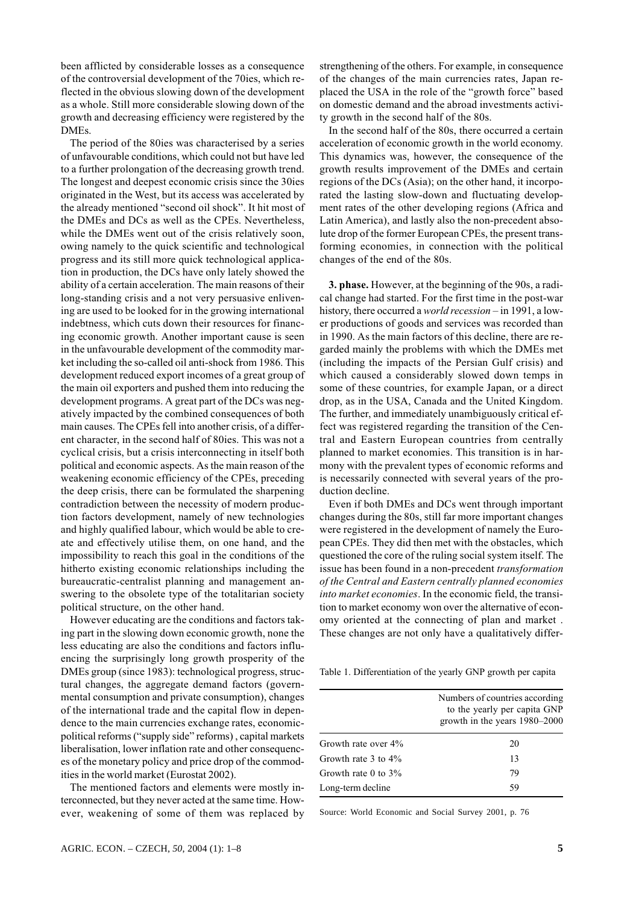been afflicted by considerable losses as a consequence of the controversial development of the 70ies, which reflected in the obvious slowing down of the development as a whole. Still more considerable slowing down of the growth and decreasing efficiency were registered by the DME<sub>s</sub>

The period of the 80ies was characterised by a series of unfavourable conditions, which could not but have led to a further prolongation of the decreasing growth trend. The longest and deepest economic crisis since the 30ies originated in the West, but its access was accelerated by the already mentioned "second oil shock". It hit most of the DMEs and DCs as well as the CPEs. Nevertheless. while the DMEs went out of the crisis relatively soon. owing namely to the quick scientific and technological progress and its still more quick technological application in production, the DCs have only lately showed the ability of a certain acceleration. The main reasons of their long-standing crisis and a not very persuasive enlivening are used to be looked for in the growing international indebtness, which cuts down their resources for financing economic growth. Another important cause is seen in the unfavourable development of the commodity market including the so-called oil anti-shock from 1986. This development reduced export incomes of a great group of the main oil exporters and pushed them into reducing the development programs. A great part of the DCs was negatively impacted by the combined consequences of both main causes. The CPEs fell into another crisis, of a different character, in the second half of 80ies. This was not a cyclical crisis, but a crisis interconnecting in itself both political and economic aspects. As the main reason of the weakening economic efficiency of the CPEs, preceding the deep crisis, there can be formulated the sharpening contradiction between the necessity of modern production factors development, namely of new technologies and highly qualified labour, which would be able to create and effectively utilise them, on one hand, and the impossibility to reach this goal in the conditions of the hitherto existing economic relationships including the bureaucratic-centralist planning and management answering to the obsolete type of the totalitarian society political structure, on the other hand.

However educating are the conditions and factors taking part in the slowing down economic growth, none the less educating are also the conditions and factors influencing the surprisingly long growth prosperity of the DMEs group (since 1983): technological progress, structural changes, the aggregate demand factors (governmental consumption and private consumption), changes of the international trade and the capital flow in dependence to the main currencies exchange rates, economicpolitical reforms ("supply side" reforms), capital markets liberalisation, lower inflation rate and other consequences of the monetary policy and price drop of the commodities in the world market (Eurostat 2002).

The mentioned factors and elements were mostly interconnected, but they never acted at the same time. However, weakening of some of them was replaced by strengthening of the others. For example, in consequence of the changes of the main currencies rates. Japan replaced the USA in the role of the "growth force" based on domestic demand and the abroad investments activity growth in the second half of the 80s.

In the second half of the 80s, there occurred a certain acceleration of economic growth in the world economy. This dynamics was, however, the consequence of the growth results improvement of the DMEs and certain regions of the DCs (Asia); on the other hand, it incorporated the lasting slow-down and fluctuating development rates of the other developing regions (Africa and Latin America), and lastly also the non-precedent absolute drop of the former European CPEs, the present transforming economies, in connection with the political changes of the end of the 80s.

3. phase. However, at the beginning of the 90s, a radical change had started. For the first time in the post-war history, there occurred a world recession - in 1991, a lower productions of goods and services was recorded than in 1990. As the main factors of this decline, there are regarded mainly the problems with which the DMEs met (including the impacts of the Persian Gulf crisis) and which caused a considerably slowed down temps in some of these countries, for example Japan, or a direct drop, as in the USA, Canada and the United Kingdom. The further, and immediately unambiguously critical effect was registered regarding the transition of the Central and Eastern European countries from centrally planned to market economies. This transition is in harmony with the prevalent types of economic reforms and is necessarily connected with several years of the production decline.

Even if both DMEs and DCs went through important changes during the 80s, still far more important changes were registered in the development of namely the European CPEs. They did then met with the obstacles, which questioned the core of the ruling social system itself. The issue has been found in a non-precedent transformation of the Central and Eastern centrally planned economies into market economies. In the economic field, the transition to market economy won over the alternative of economy oriented at the connecting of plan and market. These changes are not only have a qualitatively differ-

Table 1. Differentiation of the yearly GNP growth per capita

|                          | Numbers of countries according<br>to the yearly per capita GNP<br>growth in the years 1980–2000 |  |  |
|--------------------------|-------------------------------------------------------------------------------------------------|--|--|
| Growth rate over 4%      | 20                                                                                              |  |  |
| Growth rate $3$ to $4\%$ | 13                                                                                              |  |  |
| Growth rate 0 to $3\%$   | 79                                                                                              |  |  |
| Long-term decline        | 59                                                                                              |  |  |

Source: World Economic and Social Survey 2001, p. 76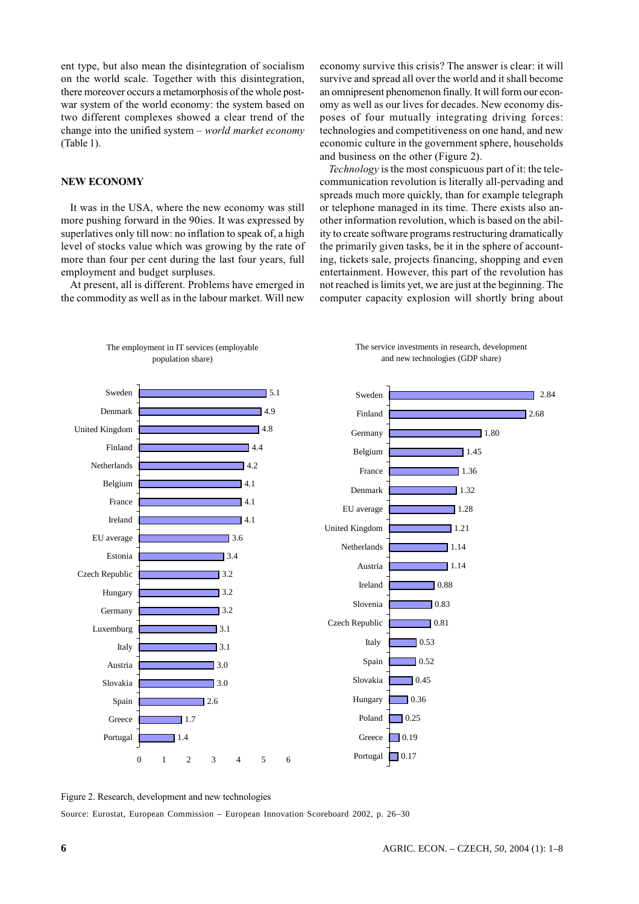ent type, but also mean the disintegration of socialism on the world scale. Together with this disintegration, there moreover occurs a metamorphosis of the whole postwar system of the world economy: the system based on two different complexes showed a clear trend of the change into the unified system - world market economy (Table 1).

## NEW ECONOMY

It was in the USA, where the new economy was still more pushing forward in the 90ies. It was expressed by superlatives only till now: no inflation to speak of, a high level of stocks value which was growing by the rate of more than four per cent during the last four years, full employment and budget surpluses.

At present, all is different. Problems have emerged in the commodity as well as in the labour market. Will new economy survive this crisis? The answer is clear: it will survive and spread all over the world and it shall become an omnipresent phenomenon finally. It will form our economy as well as our lives for decades. New economy disposes of four mutually integrating driving forces: technologies and competitiveness on one hand, and new economic culture in the government sphere, households and business on the other (Figure 2).

Technology is the most conspicuous part of it: the telecommunication revolution is literally all-pervading and spreads much more quickly, than for example telegraph or telephone managed in its time. There exists also another information revolution, which is based on the ability to create software programs restructuring dramatically the primarily given tasks, be it in the sphere of accounting, tickets sale, projects financing, shopping and even entertainment. However, this part of the revolution has not reached is limits yet, we are just at the beginning. The computer capacity explosion will shortly bring about



![](_page_5_Figure_7.jpeg)

The service investments in research, development and new technologies (GDP share)

Source: Eurostat, European Commission – European Innovation Scoreboard 2002, p. 26–30

Figure 2. Research, development and new technologies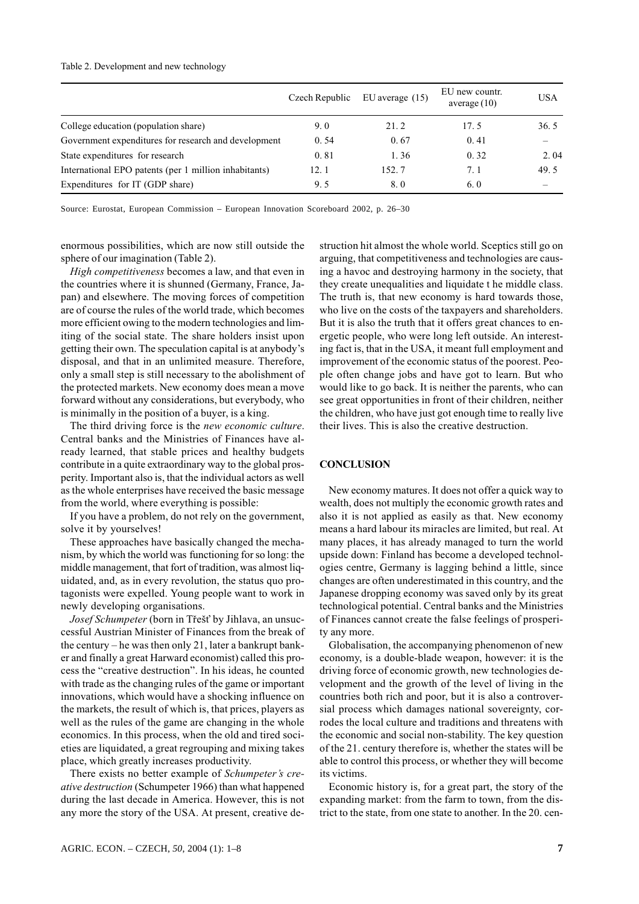#### Table 2. Development and new technology

|                                                       | Czech Republic | EU average $(15)$ | EU new countr.<br>average $(10)$ | <b>USA</b> |
|-------------------------------------------------------|----------------|-------------------|----------------------------------|------------|
| College education (population share)                  | 9.0            | 21.2              | 17.5                             | 36.5       |
| Government expenditures for research and development  | 0.54           | 0.67              | 0.41                             |            |
| State expenditures for research                       | 0.81           | 1.36              | 0.32                             | 2.04       |
| International EPO patents (per 1 million inhabitants) | 12.1           | 152.7             | 7.1                              | 49.5       |
| Expenditures for IT (GDP share)                       | 9.5            | 8.0               | 6.0                              |            |

Source: Eurostat, European Commission - European Innovation Scoreboard 2002, p. 26-30

enormous possibilities, which are now still outside the sphere of our imagination (Table 2).

High competitiveness becomes a law, and that even in the countries where it is shunned (Germany, France, Japan) and elsewhere. The moving forces of competition are of course the rules of the world trade, which becomes more efficient owing to the modern technologies and limiting of the social state. The share holders insist upon getting their own. The speculation capital is at anybody's disposal, and that in an unlimited measure. Therefore, only a small step is still necessary to the abolishment of the protected markets. New economy does mean a move forward without any considerations, but everybody, who is minimally in the position of a buyer, is a king.

The third driving force is the new economic culture. Central banks and the Ministries of Finances have already learned, that stable prices and healthy budgets contribute in a quite extraordinary way to the global prosperity. Important also is, that the individual actors as well as the whole enterprises have received the basic message from the world, where everything is possible:

If you have a problem, do not rely on the government, solve it by yourselves!

These approaches have basically changed the mechanism, by which the world was functioning for so long: the middle management, that fort of tradition, was almost liquidated, and, as in every revolution, the status quo protagonists were expelled. Young people want to work in newly developing organisations.

Josef Schumpeter (born in Třešť by Jihlava, an unsuccessful Austrian Minister of Finances from the break of the century – he was then only 21, later a bankrupt banker and finally a great Harward economist) called this process the "creative destruction". In his ideas, he counted with trade as the changing rules of the game or important innovations, which would have a shocking influence on the markets, the result of which is, that prices, players as well as the rules of the game are changing in the whole economics. In this process, when the old and tired societies are liquidated, a great regrouping and mixing takes place, which greatly increases productivity.

There exists no better example of *Schumpeter's cre*ative destruction (Schumpeter 1966) than what happened during the last decade in America. However, this is not any more the story of the USA. At present, creative destruction hit almost the whole world. Sceptics still go on arguing, that competitiveness and technologies are causing a havoc and destroying harmony in the society, that they create unequalities and liquidate t he middle class. The truth is, that new economy is hard towards those, who live on the costs of the taxpayers and shareholders. But it is also the truth that it offers great chances to energetic people, who were long left outside. An interesting fact is, that in the USA, it meant full employment and improvement of the economic status of the poorest. People often change jobs and have got to learn. But who would like to go back. It is neither the parents, who can see great opportunities in front of their children, neither the children, who have just got enough time to really live their lives. This is also the creative destruction.

## **CONCLUSION**

New economy matures. It does not offer a quick way to wealth, does not multiply the economic growth rates and also it is not applied as easily as that. New economy means a hard labour its miracles are limited, but real. At many places, it has already managed to turn the world upside down: Finland has become a developed technologies centre, Germany is lagging behind a little, since changes are often underestimated in this country, and the Japanese dropping economy was saved only by its great technological potential. Central banks and the Ministries of Finances cannot create the false feelings of prosperity any more.

Globalisation, the accompanying phenomenon of new economy, is a double-blade weapon, however: it is the driving force of economic growth, new technologies development and the growth of the level of living in the countries both rich and poor, but it is also a controversial process which damages national sovereignty, corrodes the local culture and traditions and threatens with the economic and social non-stability. The key question of the 21. century therefore is, whether the states will be able to control this process, or whether they will become its victims.

Economic history is, for a great part, the story of the expanding market: from the farm to town, from the district to the state, from one state to another. In the 20. cen-